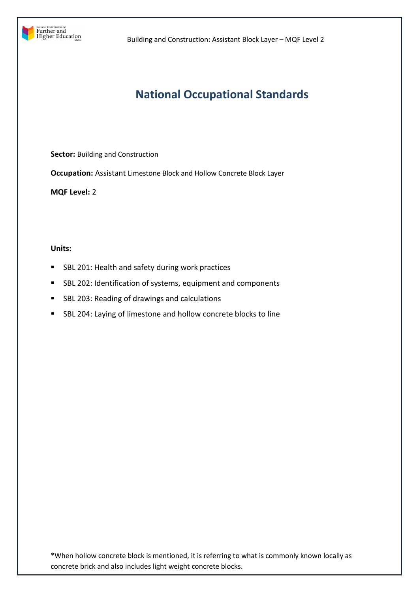

## **National Occupational Standards**

**Sector:** Building and Construction

**Occupation:** Assistant Limestone Block and Hollow Concrete Block Layer

**MQF Level:** 2

**Units:** 

- **SBL 201: Health and safety during work practices**
- SBL 202: Identification of systems, equipment and components
- SBL 203: Reading of drawings and calculations
- SBL 204: Laying of limestone and hollow concrete blocks to line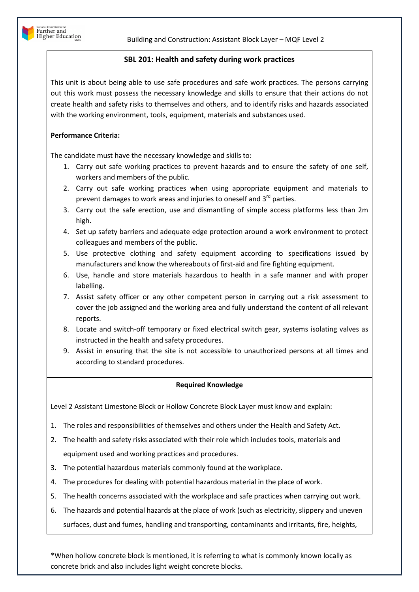## **SBL 201: Health and safety during work practices**

This unit is about being able to use safe procedures and safe work practices. The persons carrying out this work must possess the necessary knowledge and skills to ensure that their actions do not create health and safety risks to themselves and others, and to identify risks and hazards associated with the working environment, tools, equipment, materials and substances used.

## **Performance Criteria:**

The candidate must have the necessary knowledge and skills to:

- 1. Carry out safe working practices to prevent hazards and to ensure the safety of one self, workers and members of the public.
- 2. Carry out safe working practices when using appropriate equipment and materials to prevent damages to work areas and injuries to oneself and  $3^{rd}$  parties.
- 3. Carry out the safe erection, use and dismantling of simple access platforms less than 2m high.
- 4. Set up safety barriers and adequate edge protection around a work environment to protect colleagues and members of the public.
- 5. Use protective clothing and safety equipment according to specifications issued by manufacturers and know the whereabouts of first-aid and fire fighting equipment.
- 6. Use, handle and store materials hazardous to health in a safe manner and with proper labelling.
- 7. Assist safety officer or any other competent person in carrying out a risk assessment to cover the job assigned and the working area and fully understand the content of all relevant reports.
- 8. Locate and switch-off temporary or fixed electrical switch gear, systems isolating valves as instructed in the health and safety procedures.
- 9. Assist in ensuring that the site is not accessible to unauthorized persons at all times and according to standard procedures.

## **Required Knowledge**

Level 2 Assistant Limestone Block or Hollow Concrete Block Layer must know and explain:

- 1. The roles and responsibilities of themselves and others under the Health and Safety Act.
- 2. The health and safety risks associated with their role which includes tools, materials and equipment used and working practices and procedures.
- 3. The potential hazardous materials commonly found at the workplace.
- 4. The procedures for dealing with potential hazardous material in the place of work.
- 5. The health concerns associated with the workplace and safe practices when carrying out work.
- 6. The hazards and potential hazards at the place of work (such as electricity, slippery and uneven surfaces, dust and fumes, handling and transporting, contaminants and irritants, fire, heights,

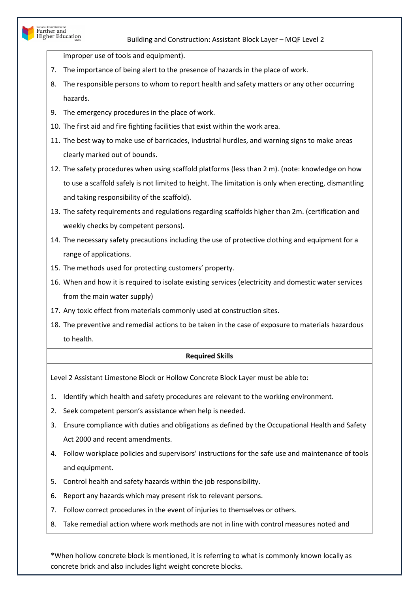improper use of tools and equipment).

National Commission for<br>Further and<br>Higher Education

- 7. The importance of being alert to the presence of hazards in the place of work.
- 8. The responsible persons to whom to report health and safety matters or any other occurring hazards.
- 9. The emergency procedures in the place of work.
- 10. The first aid and fire fighting facilities that exist within the work area.
- 11. The best way to make use of barricades, industrial hurdles, and warning signs to make areas clearly marked out of bounds.
- 12. The safety procedures when using scaffold platforms (less than 2 m). (note: knowledge on how to use a scaffold safely is not limited to height. The limitation is only when erecting, dismantling and taking responsibility of the scaffold).
- 13. The safety requirements and regulations regarding scaffolds higher than 2m. (certification and weekly checks by competent persons).
- 14. The necessary safety precautions including the use of protective clothing and equipment for a range of applications.
- 15. The methods used for protecting customers' property.
- 16. When and how it is required to isolate existing services (electricity and domestic water services from the main water supply)
- 17. Any toxic effect from materials commonly used at construction sites.
- 18. The preventive and remedial actions to be taken in the case of exposure to materials hazardous to health.

## **Required Skills**

Level 2 Assistant Limestone Block or Hollow Concrete Block Layer must be able to:

- 1. Identify which health and safety procedures are relevant to the working environment.
- 2. Seek competent person's assistance when help is needed.
- 3. Ensure compliance with duties and obligations as defined by the Occupational Health and Safety Act 2000 and recent amendments.
- 4. Follow workplace policies and supervisors' instructions for the safe use and maintenance of tools and equipment.
- 5. Control health and safety hazards within the job responsibility.
- 6. Report any hazards which may present risk to relevant persons.
- 7. Follow correct procedures in the event of injuries to themselves or others.
- 8. Take remedial action where work methods are not in line with control measures noted and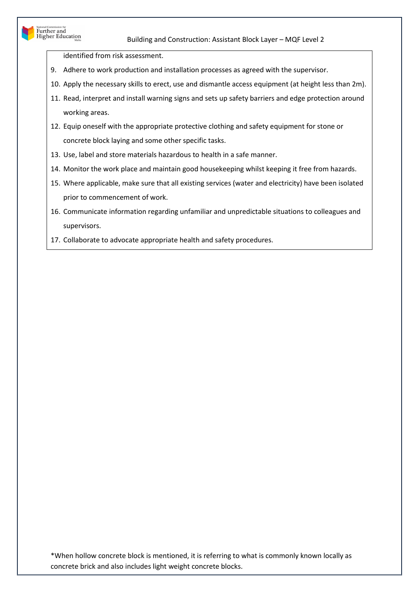# National Commission for<br>Further and<br>Higher Education

## Building and Construction: Assistant Block Layer – MQF Level 2

identified from risk assessment.

- 9. Adhere to work production and installation processes as agreed with the supervisor.
- 10. Apply the necessary skills to erect, use and dismantle access equipment (at height less than 2m).
- 11. Read, interpret and install warning signs and sets up safety barriers and edge protection around working areas.
- 12. Equip oneself with the appropriate protective clothing and safety equipment for stone or concrete block laying and some other specific tasks.
- 13. Use, label and store materials hazardous to health in a safe manner.
- 14. Monitor the work place and maintain good housekeeping whilst keeping it free from hazards.
- 15. Where applicable, make sure that all existing services (water and electricity) have been isolated prior to commencement of work.
- 16. Communicate information regarding unfamiliar and unpredictable situations to colleagues and supervisors.
- 17. Collaborate to advocate appropriate health and safety procedures.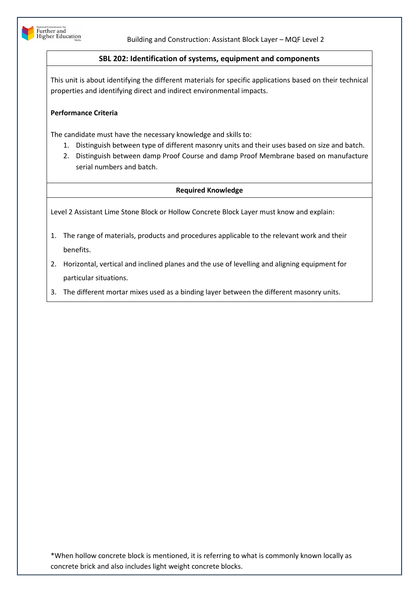

## **SBL 202: Identification of systems, equipment and components**

This unit is about identifying the different materials for specific applications based on their technical properties and identifying direct and indirect environmental impacts.

## **Performance Criteria**

The candidate must have the necessary knowledge and skills to:

- 1. Distinguish between type of different masonry units and their uses based on size and batch.
- 2. Distinguish between damp Proof Course and damp Proof Membrane based on manufacture serial numbers and batch.

## **Required Knowledge**

Level 2 Assistant Lime Stone Block or Hollow Concrete Block Layer must know and explain:

- 1. The range of materials, products and procedures applicable to the relevant work and their benefits.
- 2. Horizontal, vertical and inclined planes and the use of levelling and aligning equipment for particular situations.
- 3. The different mortar mixes used as a binding layer between the different masonry units.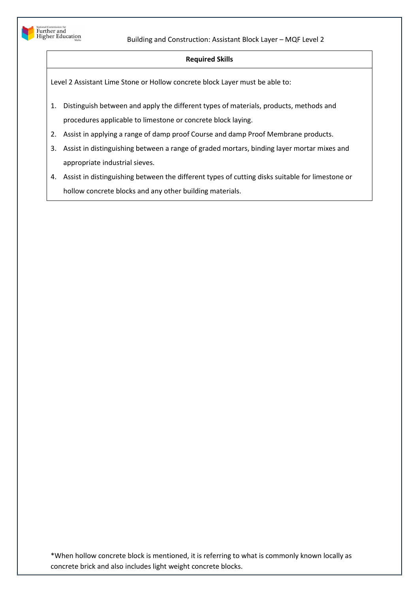

#### **Required Skills**

Level 2 Assistant Lime Stone or Hollow concrete block Layer must be able to:

- 1. Distinguish between and apply the different types of materials, products, methods and procedures applicable to limestone or concrete block laying.
- 2. Assist in applying a range of damp proof Course and damp Proof Membrane products.
- 3. Assist in distinguishing between a range of graded mortars, binding layer mortar mixes and appropriate industrial sieves.
- 4. Assist in distinguishing between the different types of cutting disks suitable for limestone or hollow concrete blocks and any other building materials.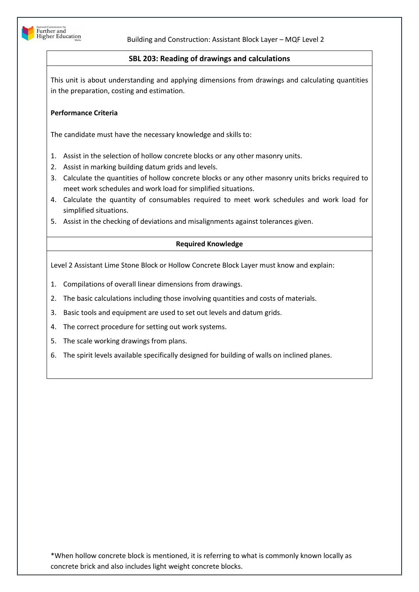

## **SBL 203: Reading of drawings and calculations**

This unit is about understanding and applying dimensions from drawings and calculating quantities in the preparation, costing and estimation.

## **Performance Criteria**

The candidate must have the necessary knowledge and skills to:

- 1. Assist in the selection of hollow concrete blocks or any other masonry units.
- 2. Assist in marking building datum grids and levels.
- 3. Calculate the quantities of hollow concrete blocks or any other masonry units bricks required to meet work schedules and work load for simplified situations.
- 4. Calculate the quantity of consumables required to meet work schedules and work load for simplified situations.
- 5. Assist in the checking of deviations and misalignments against tolerances given.

## **Required Knowledge**

Level 2 Assistant Lime Stone Block or Hollow Concrete Block Layer must know and explain:

- 1. Compilations of overall linear dimensions from drawings.
- 2. The basic calculations including those involving quantities and costs of materials.
- 3. Basic tools and equipment are used to set out levels and datum grids.
- 4. The correct procedure for setting out work systems.
- 5. The scale working drawings from plans.
- 6. The spirit levels available specifically designed for building of walls on inclined planes.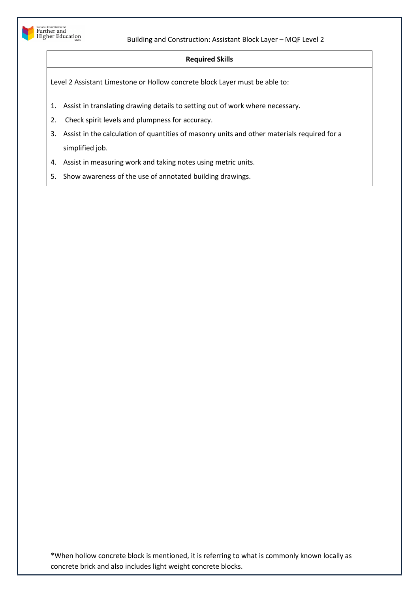

## **Required Skills**

Level 2 Assistant Limestone or Hollow concrete block Layer must be able to:

- 1. Assist in translating drawing details to setting out of work where necessary.
- 2. Check spirit levels and plumpness for accuracy.
- 3. Assist in the calculation of quantities of masonry units and other materials required for a simplified job.
- 4. Assist in measuring work and taking notes using metric units.
- 5. Show awareness of the use of annotated building drawings.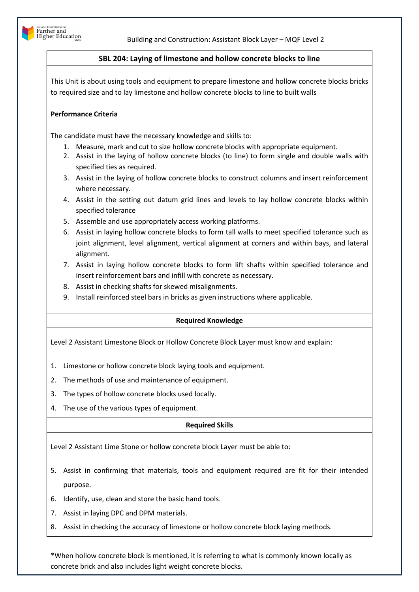

## **SBL 204: Laying of limestone and hollow concrete blocks to line**

This Unit is about using tools and equipment to prepare limestone and hollow concrete blocks bricks to required size and to lay limestone and hollow concrete blocks to line to built walls

## **Performance Criteria**

The candidate must have the necessary knowledge and skills to:

- 1. Measure, mark and cut to size hollow concrete blocks with appropriate equipment.
- 2. Assist in the laying of hollow concrete blocks (to line) to form single and double walls with specified ties as required.
- 3. Assist in the laying of hollow concrete blocks to construct columns and insert reinforcement where necessary.
- 4. Assist in the setting out datum grid lines and levels to lay hollow concrete blocks within specified tolerance
- 5. Assemble and use appropriately access working platforms.
- 6. Assist in laying hollow concrete blocks to form tall walls to meet specified tolerance such as joint alignment, level alignment, vertical alignment at corners and within bays, and lateral alignment.
- 7. Assist in laying hollow concrete blocks to form lift shafts within specified tolerance and insert reinforcement bars and infill with concrete as necessary.
- 8. Assist in checking shafts for skewed misalignments.
- 9. Install reinforced steel bars in bricks as given instructions where applicable.

## **Required Knowledge**

Level 2 Assistant Limestone Block or Hollow Concrete Block Layer must know and explain:

- 1. Limestone or hollow concrete block laying tools and equipment.
- 2. The methods of use and maintenance of equipment.
- 3. The types of hollow concrete blocks used locally.
- 4. The use of the various types of equipment.

## **Required Skills**

Level 2 Assistant Lime Stone or hollow concrete block Layer must be able to:

- 5. Assist in confirming that materials, tools and equipment required are fit for their intended purpose.
- 6. Identify, use, clean and store the basic hand tools.
- 7. Assist in laying DPC and DPM materials.
- 8. Assist in checking the accuracy of limestone or hollow concrete block laying methods.